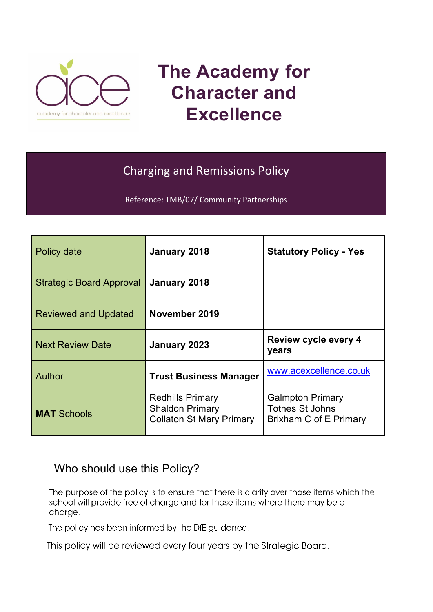

# **The Academy for Character and Excellence**

# Charging and Remissions Policy

Reference: TMB/07/ Community Partnerships

| Policy date                     | January 2018                                                                         | <b>Statutory Policy - Yes</b>                                               |
|---------------------------------|--------------------------------------------------------------------------------------|-----------------------------------------------------------------------------|
| <b>Strategic Board Approval</b> | January 2018                                                                         |                                                                             |
| <b>Reviewed and Updated</b>     | November 2019                                                                        |                                                                             |
| <b>Next Review Date</b>         | January 2023                                                                         | <b>Review cycle every 4</b><br>years                                        |
| Author                          | <b>Trust Business Manager</b>                                                        | www.acexcellence.co.uk                                                      |
| <b>MAT Schools</b>              | <b>Redhills Primary</b><br><b>Shaldon Primary</b><br><b>Collaton St Mary Primary</b> | <b>Galmpton Primary</b><br><b>Totnes St Johns</b><br>Brixham C of E Primary |

## Who should use this Policy?

The purpose of the policy is to ensure that there is clarity over those items which the school will provide free of charge and for those items where there may be a charge.

The policy has been informed by the DfE guidance.

This policy will be reviewed every four years by the Strategic Board.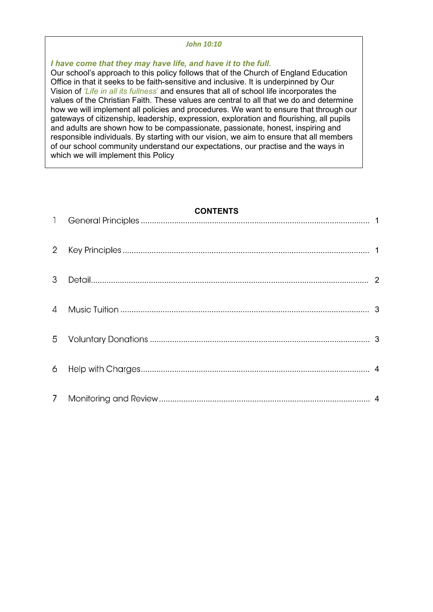#### *John 10:10*

*I have come that they may have life, and have it to the full.*

 $Q$  and a small  $Q$  denotes the line

Our school's approach to this policy follows that of the Church of England Education Office in that it seeks to be faith-sensitive and inclusive. It is underpinned by Our Vision of *'Life in all its fullness*' and ensures that all of school life incorporates the values of the Christian Faith. These values are central to all that we do and determine how we will implement all policies and procedures. We want to ensure that through our gateways of citizenship, leadership, expression, exploration and flourishing, all pupils and adults are shown how to be compassionate, passionate, honest, inspiring and responsible individuals. By starting with our vision, we aim to ensure that all members of our school community understand our expectations, our practise and the ways in which we will implement this Policy

#### **CONTENTS**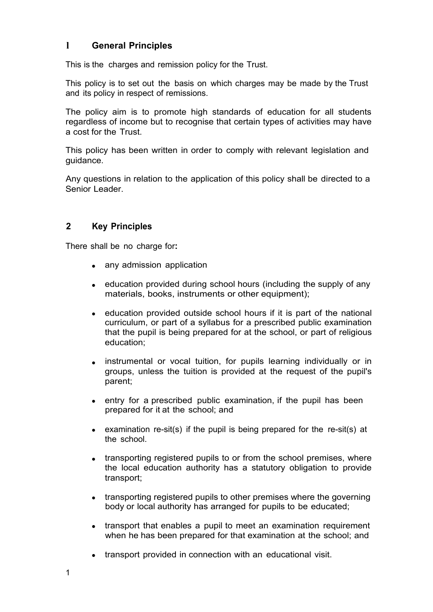## <span id="page-2-0"></span>**l General Principles**

This is the charges and remission policy for the Trust.

This policy is to set out the basis on which charges may be made by the Trust and its policy in respect of remissions.

The policy aim is to promote high standards of education for all students regardless of income but to recognise that certain types of activities may have a cost for the Trust.

This policy has been written in order to comply with relevant legislation and guidance.

Any questions in relation to the application of this policy shall be directed to a Senior Leader

### <span id="page-2-1"></span>**2 Key Principles**

There shall be no charge for**:**

- any admission application
- education provided during school hours (including the supply of any materials, books, instruments or other equipment);
- education provided outside school hours if it is part of the national curriculum, or part of a syllabus for a prescribed public examination that the pupil is being prepared for at the school, or part of religious education;
- instrumental or vocal tuition, for pupils learning individually or in groups, unless the tuition is provided at the request of the pupil's parent;
- entry for a prescribed public examination, if the pupil has been prepared for it at the school; and
- examination re-sit(s) if the pupil is being prepared for the re-sit(s) at the school.
- transporting registered pupils to or from the school premises, where the local education authority has a statutory obligation to provide transport;
- transporting registered pupils to other premises where the governing body or local authority has arranged for pupils to be educated;
- transport that enables a pupil to meet an examination requirement when he has been prepared for that examination at the school; and
- transport provided in connection with an educational visit.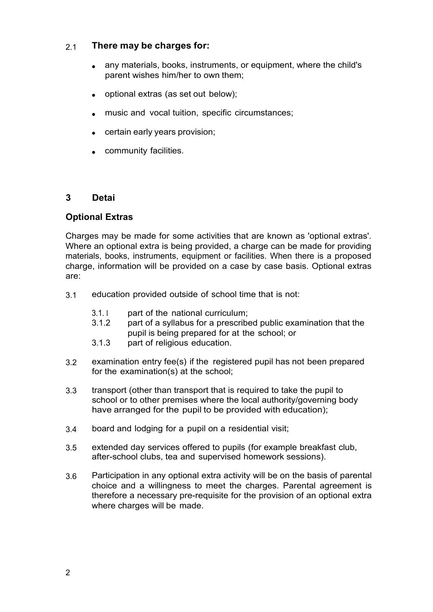#### 2.1 **There may be charges for:**

- any materials, books, instruments, or equipment, where the child's parent wishes him/her to own them; •
- optional extras (as set out below);
- music and vocal tuition, specific circumstances;
- certain early years provision;
- community facilities.

### <span id="page-3-0"></span>**3 Detai**

#### **Optional Extras**

Charges may be made for some activities that are known as 'optional extras'. Where an optional extra is being provided, a charge can be made for providing materials, books, instruments, equipment or facilities. When there is a proposed charge, information will be provided on a case by case basis. Optional extras are:

- 3.1 education provided outside of school time that is not:
	- 3.1. l part of the national curriculum;
	- 3.1.2 part of a syllabus for a prescribed public examination that the pupil is being prepared for at the school; or
	- 3.1.3 part of religious education.
- examination entry fee(s) if the registered pupil has not been prepared for the examination(s) at the school; 3.2
- transport (other than transport that is required to take the pupil to school or to other premises where the local authority/governing body have arranged for the pupil to be provided with education); 3.3
- 3.4 board and lodging for a pupil on a residential visit;
- extended day services offered to pupils (for example breakfast club, after-school clubs, tea and supervised homework sessions). 3.5
- Participation in any optional extra activity will be on the basis of parental choice and a willingness to meet the charges. Parental agreement is therefore a necessary pre-requisite for the provision of an optional extra where charges will be made. 3.6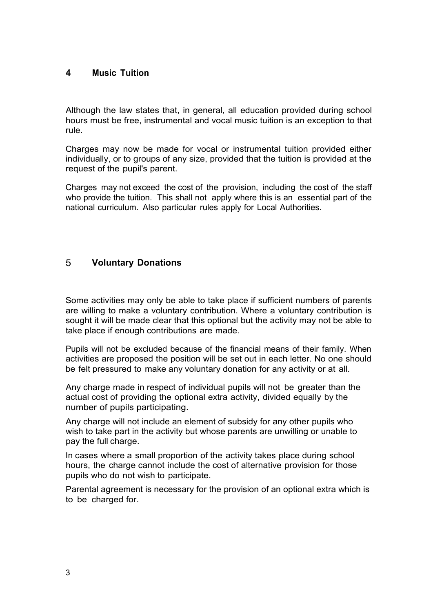#### <span id="page-4-0"></span>**4 Music Tuition**

Although the law states that, in general, all education provided during school hours must be free, instrumental and vocal music tuition is an exception to that rule.

Charges may now be made for vocal or instrumental tuition provided either individually, or to groups of any size, provided that the tuition is provided at the request of the pupil's parent.

Charges may not exceed the cost of the provision, including the cost of the staff who provide the tuition. This shall not apply where this is an essential part of the national curriculum. Also particular rules apply for Local Authorities.

### <span id="page-4-1"></span>5 **Voluntary Donations**

Some activities may only be able to take place if sufficient numbers of parents are willing to make a voluntary contribution. Where a voluntary contribution is sought it will be made clear that this optional but the activity may not be able to take place if enough contributions are made.

Pupils will not be excluded because of the financial means of their family. When activities are proposed the position will be set out in each letter. No one should be felt pressured to make any voluntary donation for any activity or at all.

Any charge made in respect of individual pupils will not be greater than the actual cost of providing the optional extra activity, divided equally by the number of pupils participating.

Any charge will not include an element of subsidy for any other pupils who wish to take part in the activity but whose parents are unwilling or unable to pay the full charge.

In cases where a small proportion of the activity takes place during school hours, the charge cannot include the cost of alternative provision for those pupils who do not wish to participate.

Parental agreement is necessary for the provision of an optional extra which is to be charged for.